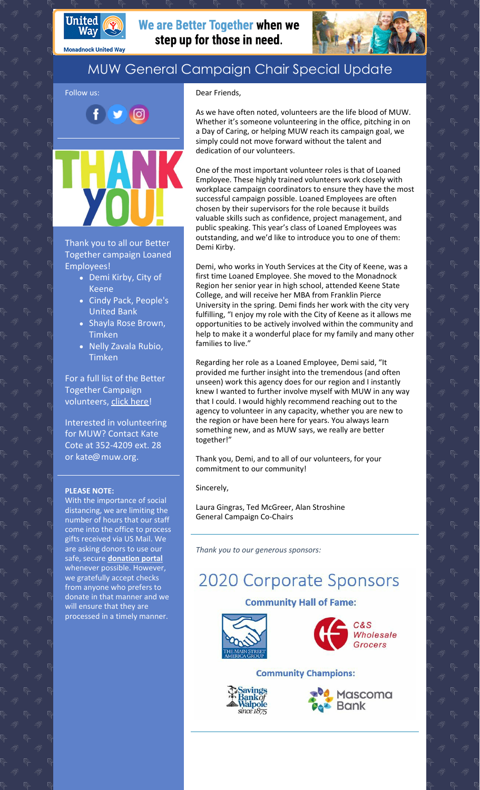

**Monadnock United Way** 

We are Better Together when we step up for those in need.



## MUW General Campaign Chair Special Update

### Dear Friends,

Follow us: ල

Thank you to all our Better Together campaign Loaned Employees!

- Demi Kirby, City of Keene
- Cindy Pack, People's United Bank
- Shayla Rose Brown, Timken
- Nelly Zavala Rubio, Timken

For a full list of the Better Together Campaign volunteers, click [here](https://www.muw.org/volunteer-thank-you)!

Interested in volunteering for MUW? Contact Kate Cote at 352-4209 ext. 28 or kate@muw.org.

### **PLEASE NOTE:**

With the importance of social distancing, we are limiting the number of hours that our staff come into the office to process gifts received via US Mail. We are asking donors to use our safe, secure **[donation](https://app.mobilecause.com/f/2vgz/n?reset=1&%253Bid=1&vid=cdoig) portal** whenever possible. However, we gratefully accept checks from anyone who prefers to donate in that manner and we will ensure that they are processed in a timely manner.

As we have often noted, volunteers are the life blood of MUW. Whether it's someone volunteering in the office, pitching in on a Day of Caring, or helping MUW reach its campaign goal, we simply could not move forward without the talent and dedication of our volunteers.

One of the most important volunteer roles is that of Loaned Employee. These highly trained volunteers work closely with workplace campaign coordinators to ensure they have the most successful campaign possible. Loaned Employees are often chosen by their supervisors for the role because it builds valuable skills such as confidence, project management, and public speaking. This year's class of Loaned Employees was outstanding, and we'd like to introduce you to one of them: Demi Kirby.

Demi, who works in Youth Services at the City of Keene, was a first time Loaned Employee. She moved to the Monadnock Region her senior year in high school, attended Keene State College, and will receive her MBA from Franklin Pierce University in the spring. Demi finds her work with the city very fulfilling, "I enjoy my role with the City of Keene as it allows me opportunities to be actively involved within the community and help to make it a wonderful place for my family and many other families to live."

Regarding her role as a Loaned Employee, Demi said, "It provided me further insight into the tremendous (and often unseen) work this agency does for our region and I instantly knew I wanted to further involve myself with MUW in any way that I could. I would highly recommend reaching out to the agency to volunteer in any capacity, whether you are new to the region or have been here for years. You always learn something new, and as MUW says, we really are better together!"

Thank you, Demi, and to all of our volunteers, for your commitment to our community!

Sincerely,

Laura Gingras, Ted McGreer, Alan Stroshine General Campaign Co-Chairs

*Thank you to our generous sponsors:*

# **2020 Corporate Sponsors**

### **Community Hall of Fame:**





### **Community Champions:**